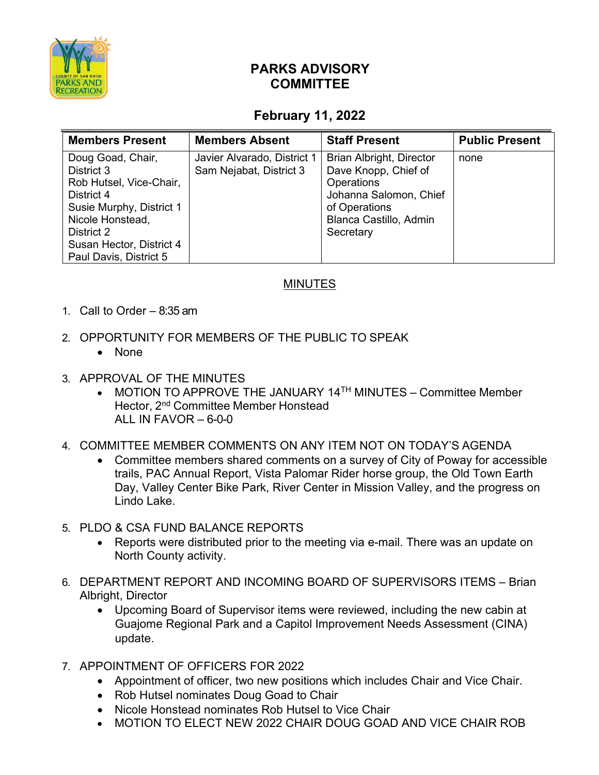

## **PARKS ADVISORY COMMITTEE**

## **February 11, 2022**

| <b>Members Present</b>                                                                                                                                                                       | <b>Members Absent</b>                                  | <b>Staff Present</b>                                                                                                                                           | <b>Public Present</b> |
|----------------------------------------------------------------------------------------------------------------------------------------------------------------------------------------------|--------------------------------------------------------|----------------------------------------------------------------------------------------------------------------------------------------------------------------|-----------------------|
| Doug Goad, Chair,<br>District 3<br>Rob Hutsel, Vice-Chair,<br>District 4<br>Susie Murphy, District 1<br>Nicole Honstead,<br>District 2<br>Susan Hector, District 4<br>Paul Davis, District 5 | Javier Alvarado, District 1<br>Sam Nejabat, District 3 | <b>Brian Albright, Director</b><br>Dave Knopp, Chief of<br><b>Operations</b><br>Johanna Salomon, Chief<br>of Operations<br>Blanca Castillo, Admin<br>Secretary | none                  |

## MINUTES

- 1. Call to Order 8:35 am
- 2. OPPORTUNITY FOR MEMBERS OF THE PUBLIC TO SPEAK
	- None
- 3. APPROVAL OF THE MINUTES
	- MOTION TO APPROVE THE JANUARY 14<sup>TH</sup> MINUTES Committee Member Hector, 2nd Committee Member Honstead ALL IN FAVOR  $-6-0-0$
- 4. COMMITTEE MEMBER COMMENTS ON ANY ITEM NOT ON TODAY'S AGENDA
	- Committee members shared comments on a survey of City of Poway for accessible trails, PAC Annual Report, Vista Palomar Rider horse group, the Old Town Earth Day, Valley Center Bike Park, River Center in Mission Valley, and the progress on Lindo Lake.
- 5. PLDO & CSA FUND BALANCE REPORTS
	- Reports were distributed prior to the meeting via e-mail. There was an update on North County activity.
- 6. DEPARTMENT REPORT AND INCOMING BOARD OF SUPERVISORS ITEMS Brian Albright, Director
	- Upcoming Board of Supervisor items were reviewed, including the new cabin at Guajome Regional Park and a Capitol Improvement Needs Assessment (CINA) update.
- 7. APPOINTMENT OF OFFICERS FOR 2022
	- Appointment of officer, two new positions which includes Chair and Vice Chair.
	- Rob Hutsel nominates Doug Goad to Chair
	- Nicole Honstead nominates Rob Hutsel to Vice Chair
	- MOTION TO ELECT NEW 2022 CHAIR DOUG GOAD AND VICE CHAIR ROB